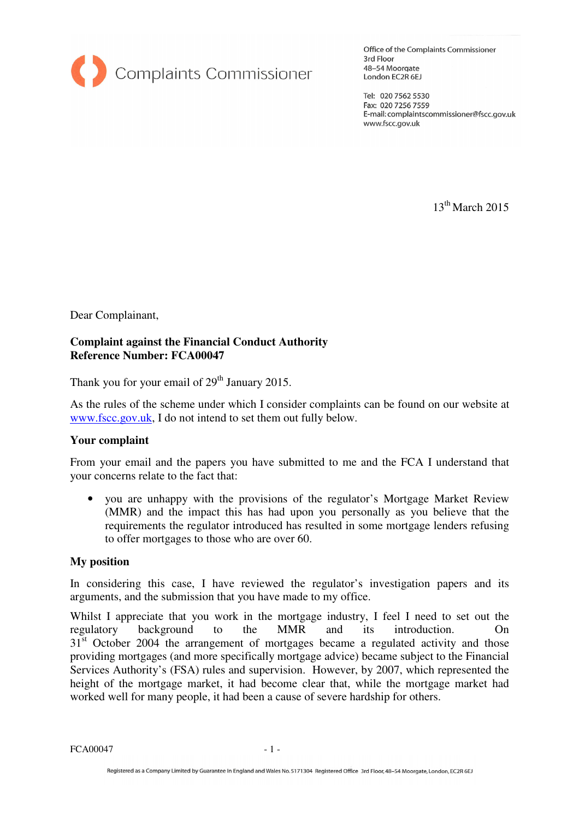

Office of the Complaints Commissioner 3rd Floor 48-54 Moorgate London EC2R 6EJ

Tel: 020 7562 5530 Fax: 020 7256 7559 E-mail: complaintscommissioner@fscc.gov.uk www.fscc.gov.uk

 $13<sup>th</sup>$  March 2015

Dear Complainant,

## **Complaint against the Financial Conduct Authority Reference Number: FCA00047**

Thank you for your email of  $29<sup>th</sup>$  January 2015.

As the rules of the scheme under which I consider complaints can be found on our website at www.fscc.gov.uk, I do not intend to set them out fully below.

## **Your complaint**

From your email and the papers you have submitted to me and the FCA I understand that your concerns relate to the fact that:

• you are unhappy with the provisions of the regulator's Mortgage Market Review (MMR) and the impact this has had upon you personally as you believe that the requirements the regulator introduced has resulted in some mortgage lenders refusing to offer mortgages to those who are over 60.

## **My position**

In considering this case, I have reviewed the regulator's investigation papers and its arguments, and the submission that you have made to my office.

Whilst I appreciate that you work in the mortgage industry, I feel I need to set out the regulatory background to the MMR and its introduction. On 3<sup>1st</sup> October 2004 the arrangement of mortgages became a regulated activity and those providing mortgages (and more specifically mortgage advice) became subject to the Financial Services Authority's (FSA) rules and supervision. However, by 2007, which represented the height of the mortgage market, it had become clear that, while the mortgage market had worked well for many people, it had been a cause of severe hardship for others.

 $FCA00047$  - 1 -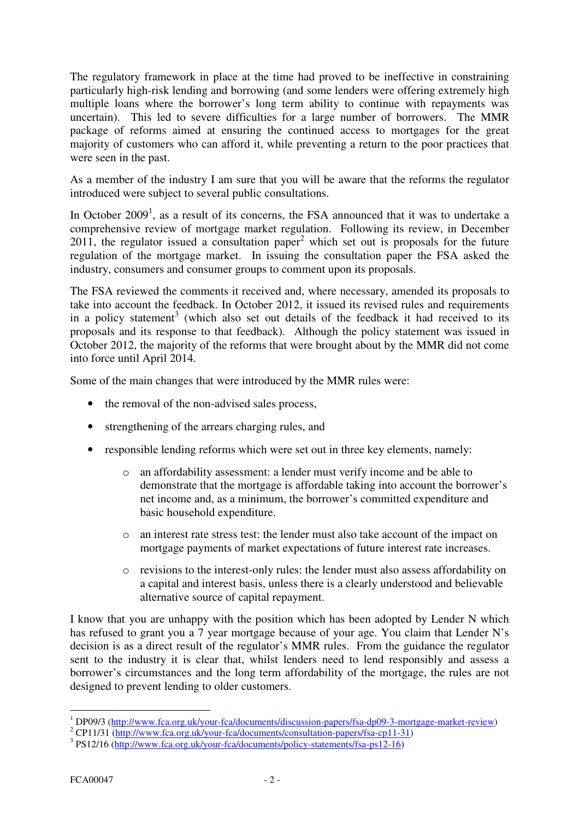The regulatory framework in place at the time had proved to be ineffective in constraining particularly high-risk lending and borrowing (and some lenders were offering extremely high multiple loans where the borrower's long term ability to continue with repayments was uncertain). This led to severe difficulties for a large number of borrowers. The MMR package of reforms aimed at ensuring the continued access to mortgages for the great majority of customers who can afford it, while preventing a return to the poor practices that were seen in the past.

As a member of the industry I am sure that you will be aware that the reforms the regulator introduced were subject to several public consultations.

In October  $2009<sup>1</sup>$ , as a result of its concerns, the FSA announced that it was to undertake a comprehensive review of mortgage market regulation. Following its review, in December  $2011$ , the regulator issued a consultation paper<sup>2</sup> which set out is proposals for the future regulation of the mortgage market. In issuing the consultation paper the FSA asked the industry, consumers and consumer groups to comment upon its proposals.

The FSA reviewed the comments it received and, where necessary, amended its proposals to take into account the feedback. In October 2012, it issued its revised rules and requirements in a policy statement<sup>3</sup> (which also set out details of the feedback it had received to its proposals and its response to that feedback). Although the policy statement was issued in October 2012, the majority of the reforms that were brought about by the MMR did not come into force until April 2014.

Some of the main changes that were introduced by the MMR rules were:

- the removal of the non-advised sales process,
- strengthening of the arrears charging rules, and
- responsible lending reforms which were set out in three key elements, namely:
	- o an affordability assessment: a lender must verify income and be able to demonstrate that the mortgage is affordable taking into account the borrower's net income and, as a minimum, the borrower's committed expenditure and basic household expenditure.
	- o an interest rate stress test: the lender must also take account of the impact on mortgage payments of market expectations of future interest rate increases.
	- o revisions to the interest-only rules: the lender must also assess affordability on a capital and interest basis, unless there is a clearly understood and believable alternative source of capital repayment.

I know that you are unhappy with the position which has been adopted by Lender N which has refused to grant you a 7 year mortgage because of your age. You claim that Lender N's decision is as a direct result of the regulator's MMR rules. From the guidance the regulator sent to the industry it is clear that, whilst lenders need to lend responsibly and assess a borrower's circumstances and the long term affordability of the mortgage, the rules are not designed to prevent lending to older customers.

 1 DP09/3 (http://www.fca.org.uk/your-fca/documents/discussion-papers/fsa-dp09-3-mortgage-market-review)

<sup>&</sup>lt;sup>2</sup> CP11/31 (http://www.fca.org.uk/your-fca/documents/consultation-papers/fsa-cp11-31)

<sup>&</sup>lt;sup>3</sup> PS12/16 (http://www.fca.org.uk/your-fca/documents/policy-statements/fsa-ps12-16)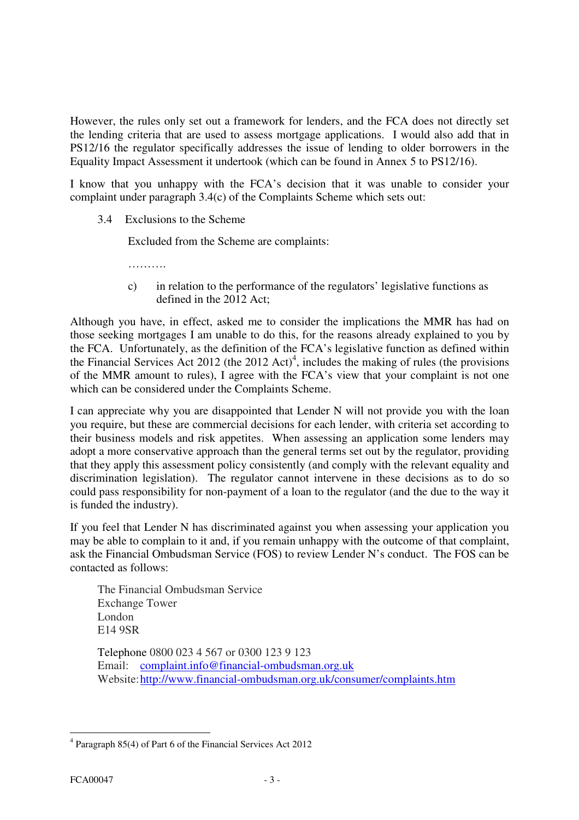However, the rules only set out a framework for lenders, and the FCA does not directly set the lending criteria that are used to assess mortgage applications. I would also add that in PS12/16 the regulator specifically addresses the issue of lending to older borrowers in the Equality Impact Assessment it undertook (which can be found in Annex 5 to PS12/16).

I know that you unhappy with the FCA's decision that it was unable to consider your complaint under paragraph 3.4(c) of the Complaints Scheme which sets out:

3.4 Exclusions to the Scheme

Excluded from the Scheme are complaints:

…………

c) in relation to the performance of the regulators' legislative functions as defined in the 2012 Act;

Although you have, in effect, asked me to consider the implications the MMR has had on those seeking mortgages I am unable to do this, for the reasons already explained to you by the FCA. Unfortunately, as the definition of the FCA's legislative function as defined within the Financial Services Act 2012 (the 2012 Act)<sup>4</sup>, includes the making of rules (the provisions of the MMR amount to rules), I agree with the FCA's view that your complaint is not one which can be considered under the Complaints Scheme.

I can appreciate why you are disappointed that Lender N will not provide you with the loan you require, but these are commercial decisions for each lender, with criteria set according to their business models and risk appetites. When assessing an application some lenders may adopt a more conservative approach than the general terms set out by the regulator, providing that they apply this assessment policy consistently (and comply with the relevant equality and discrimination legislation). The regulator cannot intervene in these decisions as to do so could pass responsibility for non-payment of a loan to the regulator (and the due to the way it is funded the industry).

If you feel that Lender N has discriminated against you when assessing your application you may be able to complain to it and, if you remain unhappy with the outcome of that complaint, ask the Financial Ombudsman Service (FOS) to review Lender N's conduct. The FOS can be contacted as follows:

The Financial Ombudsman Service Exchange Tower London E14 9SR

Telephone 0800 023 4 567 or 0300 123 9 123 Email: complaint.info@financial-ombudsman.org.uk Website: http://www.financial-ombudsman.org.uk/consumer/complaints.htm

 $\overline{a}$ 4 Paragraph 85(4) of Part 6 of the Financial Services Act 2012